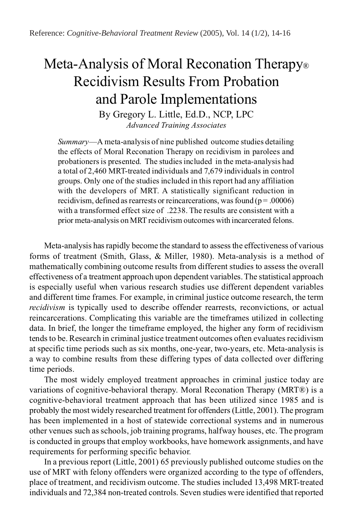# Meta-Analysis of Moral Reconation Therapy<sup>®</sup> Recidivism Results From Probation and Parole Implementations

By Gregory L. Little, Ed.D., NCP, LPC *Advanced Training Associates*

*Summary*—A meta-analysis of nine published outcome studies detailing the effects of Moral Reconation Therapy on recidivism in parolees and probationers is presented. The studies included in the meta-analysis had a total of 2,460 MRT-treated individuals and 7,679 individuals in control groups. Only one of the studies included in this report had any affiliation with the developers of MRT. A statistically significant reduction in recidivism, defined as rearrests or reincarcerations, was found ( $p = .00006$ ) with a transformed effect size of .2238. The results are consistent with a prior meta-analysis on MRT recidivism outcomes with incarcerated felons.

Meta-analysis has rapidly become the standard to assess the effectiveness of various forms of treatment (Smith, Glass, & Miller, 1980). Meta-analysis is a method of mathematically combining outcome results from different studies to assess the overall effectiveness of a treatment approach upon dependent variables. The statistical approach is especially useful when various research studies use different dependent variables and different time frames. For example, in criminal justice outcome research, the term *recidivism* is typically used to describe offender rearrests, reconvictions, or actual reincarcerations. Complicating this variable are the timeframes utilized in collecting data. In brief, the longer the timeframe employed, the higher any form of recidivism tends to be. Research in criminal justice treatment outcomes often evaluates recidivism at specific time periods such as six months, one-year, two-years, etc. Meta-analysis is a way to combine results from these differing types of data collected over differing time periods.

The most widely employed treatment approaches in criminal justice today are variations of cognitive-behavioral therapy. Moral Reconation Therapy (MRT®) is a cognitive-behavioral treatment approach that has been utilized since 1985 and is probably the most widely researched treatment for offenders (Little, 2001). The program has been implemented in a host of statewide correctional systems and in numerous other venues such as schools, job training programs, halfway houses, etc. The program is conducted in groups that employ workbooks, have homework assignments, and have requirements for performing specific behavior.

In a previous report (Little, 2001) 65 previously published outcome studies on the use of MRT with felony offenders were organized according to the type of offenders, place of treatment, and recidivism outcome. The studies included 13,498 MRT-treated individuals and 72,384 non-treated controls. Seven studies were identified that reported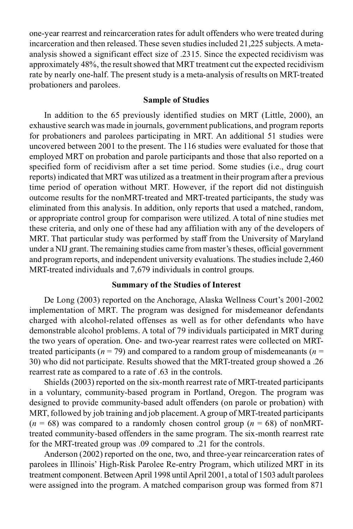one-year rearrest and reincarceration rates for adult offenders who were treated during incarceration and then released. These seven studies included 21,225 subjects. A metaanalysis showed a significant effect size of .2315. Since the expected recidivism was approximately 48%, the result showed that MRT treatment cut the expected recidivism rate by nearly one-half. The present study is a meta-analysis of results on MRT-treated probationers and parolees.

# **Sample of Studies**

In addition to the 65 previously identified studies on MRT (Little, 2000), an exhaustive search was made in journals, government publications, and program reports for probationers and parolees participating in MRT. An additional 51 studies were uncovered between 2001 to the present. The 116 studies were evaluated for those that employed MRT on probation and parole participants and those that also reported on a specified form of recidivism after a set time period. Some studies (i.e., drug court reports) indicated that MRT was utilized as a treatment in their program after a previous time period of operation without MRT. However, if the report did not distinguish outcome results for the nonMRT-treated and MRT-treated participants, the study was eliminated from this analysis. In addition, only reports that used a matched, random, or appropriate control group for comparison were utilized. A total of nine studies met these criteria, and only one of these had any affiliation with any of the developers of MRT. That particular study was performed by staff from the University of Maryland under a NIJ grant. The remaining studies came from master's theses, official government and program reports, and independent university evaluations. The studies include 2,460 MRT-treated individuals and 7,679 individuals in control groups.

### **Summary of the Studies of Interest**

De Long (2003) reported on the Anchorage, Alaska Wellness Court's 2001-2002 implementation of MRT. The program was designed for misdemeanor defendants charged with alcohol-related offenses as well as for other defendants who have demonstrable alcohol problems. A total of 79 individuals participated in MRT during the two years of operation. One- and two-year rearrest rates were collected on MRTtreated participants ( $n = 79$ ) and compared to a random group of misdemeanants ( $n =$ 30) who did not participate. Results showed that the MRT-treated group showed a .26 rearrest rate as compared to a rate of .63 in the controls.

Shields (2003) reported on the six-month rearrest rate of MRT-treated participants in a voluntary, community-based program in Portland, Oregon. The program was designed to provide community-based adult offenders (on parole or probation) with MRT, followed by job training and job placement. A group of MRT-treated participants  $(n = 68)$  was compared to a randomly chosen control group  $(n = 68)$  of nonMRTtreated community-based offenders in the same program. The six-month rearrest rate for the MRT-treated group was .09 compared to .21 for the controls.

Anderson (2002) reported on the one, two, and three-year reincarceration rates of parolees in Illinois' High-Risk Parolee Re-entry Program, which utilized MRT in its treatment component. Between April 1998 until April 2001, a total of 1503 adult parolees were assigned into the program. A matched comparison group was formed from 871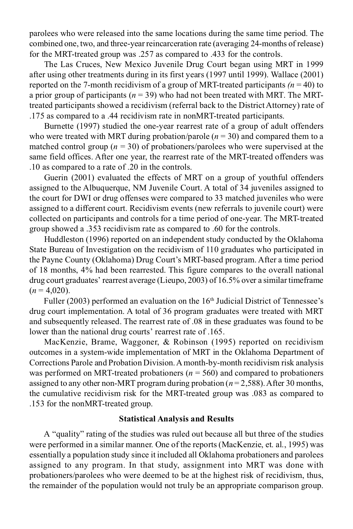parolees who were released into the same locations during the same time period. The combined one, two, and three-year reincarceration rate (averaging 24-months of release) for the MRT-treated group was .257 as compared to .433 for the controls.

The Las Cruces, New Mexico Juvenile Drug Court began using MRT in 1999 after using other treatments during in its first years (1997 until 1999). Wallace (2001) reported on the 7-month recidivism of a group of MRT-treated participants *(n* = 40) to a prior group of participants ( $n = 39$ ) who had not been treated with MRT. The MRTtreated participants showed a recidivism (referral back to the District Attorney) rate of .175 as compared to a .44 recidivism rate in nonMRT-treated participants.

Burnette (1997) studied the one-year rearrest rate of a group of adult offenders who were treated with MRT during probation/parole  $(n = 30)$  and compared them to a matched control group ( $n = 30$ ) of probationers/parolees who were supervised at the same field offices. After one year, the rearrest rate of the MRT-treated offenders was .10 as compared to a rate of .20 in the controls.

Guerin (2001) evaluated the effects of MRT on a group of youthful offenders assigned to the Albuquerque, NM Juvenile Court. A total of 34 juveniles assigned to the court for DWI or drug offenses were compared to 33 matched juveniles who were assigned to a different court. Recidivism events (new referrals to juvenile court) were collected on participants and controls for a time period of one-year. The MRT-treated group showed a .353 recidivism rate as compared to .60 for the controls.

Huddleston (1996) reported on an independent study conducted by the Oklahoma State Bureau of Investigation on the recidivism of 110 graduates who participated in the Payne County (Oklahoma) Drug Court's MRT-based program. After a time period of 18 months, 4% had been rearrested. This figure compares to the overall national drug court graduates' rearrest average (Lieupo, 2003) of 16.5% over a similar timeframe  $(n = 4,020)$ .

Fuller (2003) performed an evaluation on the  $16<sup>th</sup>$  Judicial District of Tennessee's drug court implementation. A total of 36 program graduates were treated with MRT and subsequently released. The rearrest rate of .08 in these graduates was found to be lower than the national drug courts' rearrest rate of .165.

MacKenzie, Brame, Waggoner, & Robinson (1995) reported on recidivism outcomes in a system-wide implementation of MRT in the Oklahoma Department of Corrections Parole and Probation Division. A month-by-month recidivism risk analysis was performed on MRT-treated probationers ( $n = 560$ ) and compared to probationers assigned to any other non-MRT program during probation (*n* = 2,588). After 30 months, the cumulative recidivism risk for the MRT-treated group was .083 as compared to .153 for the nonMRT-treated group.

# **Statistical Analysis and Results**

A "quality" rating of the studies was ruled out because all but three of the studies were performed in a similar manner. One of the reports (MacKenzie, et. al., 1995) was essentially a population study since it included all Oklahoma probationers and parolees assigned to any program. In that study, assignment into MRT was done with probationers/parolees who were deemed to be at the highest risk of recidivism, thus, the remainder of the population would not truly be an appropriate comparison group.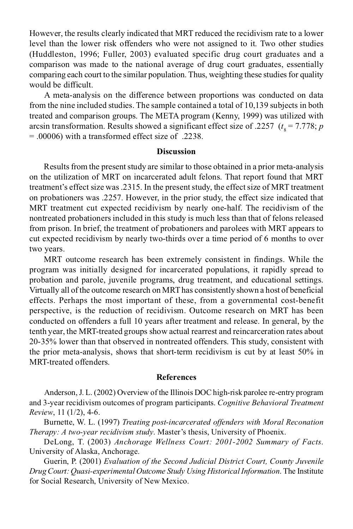However, the results clearly indicated that MRT reduced the recidivism rate to a lower level than the lower risk offenders who were not assigned to it. Two other studies (Huddleston, 1996; Fuller, 2003) evaluated specific drug court graduates and a comparison was made to the national average of drug court graduates, essentially comparing each court to the similar population. Thus, weighting these studies for quality would be difficult.

A meta-analysis on the difference between proportions was conducted on data from the nine included studies. The sample contained a total of 10,139 subjects in both treated and comparison groups. The META program (Kenny, 1999) was utilized with arcsin transformation. Results showed a significant effect size of .2257  $(t<sub>8</sub> = 7.778; p$ = .00006) with a transformed effect size of .2238.

#### **Discussion**

Results from the present study are similar to those obtained in a prior meta-analysis on the utilization of MRT on incarcerated adult felons. That report found that MRT treatment's effect size was .2315. In the present study, the effect size of MRT treatment on probationers was .2257. However, in the prior study, the effect size indicated that MRT treatment cut expected recidivism by nearly one-half. The recidivism of the nontreated probationers included in this study is much less than that of felons released from prison. In brief, the treatment of probationers and parolees with MRT appears to cut expected recidivism by nearly two-thirds over a time period of 6 months to over two years.

MRT outcome research has been extremely consistent in findings. While the program was initially designed for incarcerated populations, it rapidly spread to probation and parole, juvenile programs, drug treatment, and educational settings. Virtually all of the outcome research on MRT has consistently shown a host of beneficial effects. Perhaps the most important of these, from a governmental cost-benefit perspective, is the reduction of recidivism. Outcome research on MRT has been conducted on offenders a full 10 years after treatment and release. In general, by the tenth year, the MRT-treated groups show actual rearrest and reincarceration rates about 20-35% lower than that observed in nontreated offenders. This study, consistent with the prior meta-analysis, shows that short-term recidivism is cut by at least 50% in MRT-treated offenders.

#### **References**

Anderson, J. L. (2002) Overview of the Illinois DOC high-risk parolee re-entry program and 3-year recidivism outcomes of program participants. *Cognitive Behavioral Treatment Review*, 11 (1/2), 4-6.

Burnette, W. L. (1997) *Treating post-incarcerated offenders with Moral Reconation Therapy: A two-year recidivism study*. Master's thesis, University of Phoenix.

DeLong, T. (2003) *Anchorage Wellness Court: 2001-2002 Summary of Facts*. University of Alaska, Anchorage.

Guerin, P. (2001) *Evaluation of the Second Judicial District Court, County Juvenile Drug Court: Quasi-experimental Outcome Study Using Historical Information*. The Institute for Social Research, University of New Mexico.